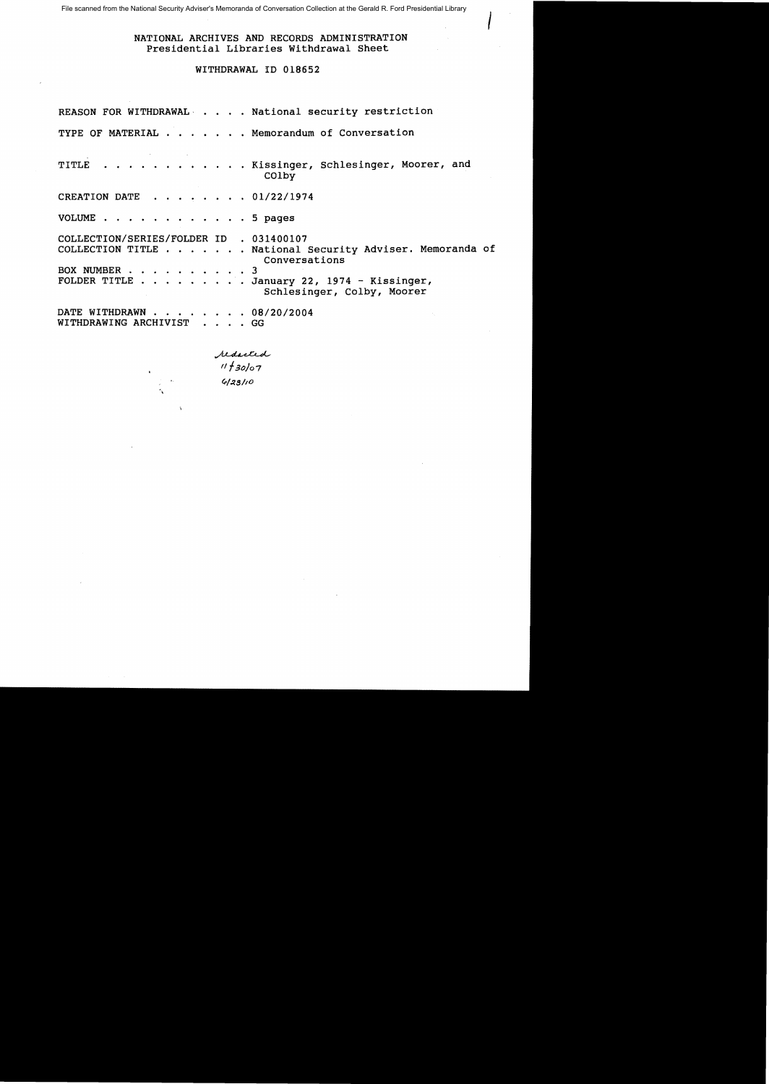File scanned from the National Security Adviser's Memoranda of Conversation Collection at the Gerald R. Ford Presidential Library

## NATIONAL ARCHIVES AND RECORDS ADMINISTRATION Presidential Libraries Withdrawal Sheet

 $\overline{I}$ 

# WITHDRAWAL 1D 018652

|                                                         |                        | REASON FOR WITHDRAWAL National security restriction                                                                                                   |
|---------------------------------------------------------|------------------------|-------------------------------------------------------------------------------------------------------------------------------------------------------|
|                                                         |                        | TYPE OF MATERIAL Memorandum of Conversation                                                                                                           |
|                                                         |                        | TITLE Kissinger, Schlesinger, Moorer, and<br>COlby                                                                                                    |
| CREATION DATE 01/22/1974                                |                        |                                                                                                                                                       |
| VOLUME 5 pages                                          |                        |                                                                                                                                                       |
| COLLECTION/SERIES/FOLDER ID . 031400107<br>BOX NUMBER 3 |                        | COLLECTION TITLE National Security Adviser. Memoranda of<br>Conversations<br>FOLDER TITLE January 22, 1974 - Kissinger,<br>Schlesinger, Colby, Moorer |
| DATE WITHDRAWN 08/20/2004<br>WITHDRAWING ARCHIVIST GG   |                        |                                                                                                                                                       |
|                                                         | reducted<br>!! + 30/07 |                                                                                                                                                       |

 $\sim$ 

*(P!p.s/lo* 

À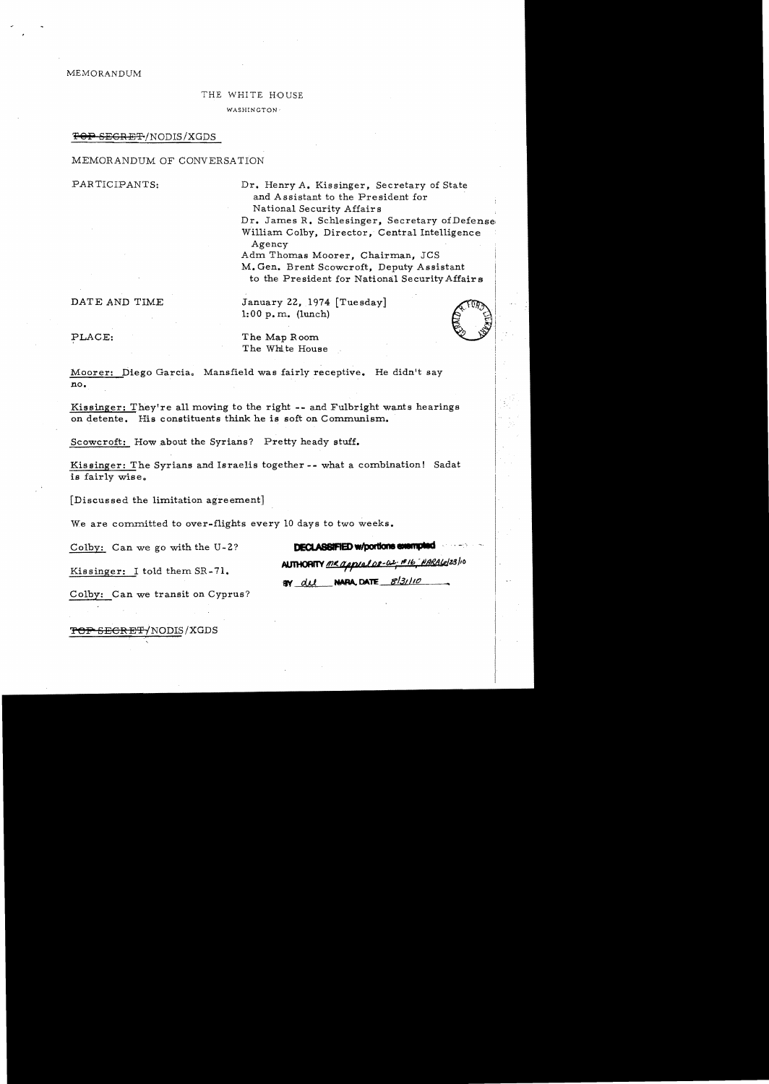MEMORANDUM

### THE WHITE HOUSE

WASHINGTON'

#### <del>TOP SEGRET</del>/NODIS/XGDS

## MEMORANDUM OF CONVERSATION

PARTICIPANTS: Dr. Henry A. Kissinger, Secretary of State and Assistant to the President for National Security Affairs

> Dr. James R. Schlesinger, Secretary of Defense William Colby, Director, Central Intelligence Agency

Adm Thomas Moorer, Chairman, JCS M. Gen. Brent Scowcroft, Deputy Assistant

to the President for National Security Affairs<br>
January 22, 1974 [Tuesday]<br>
1:00 p.m. (lunch) DATE AND TIME January 22, 1974 [Tuesday]<br>1:00 p.m. (lunch)<br>PLACE: The Map Room<br>The White House



PLACE: The Map Room The White House

Moorer: Diego Garcia. Mansfield was fairly receptive. He didn't say no.

Kissinger: They're all moving to the right -- and Fulbright wants hearings on detente. His constituents think he is soft on Communism.

Scowcroft: How about the Syrians? Pretty heady stuff.

Kissinger: The Syrians and Israelis together -- what a combination! Sadat is fairly wise.

[Discussed the limitation agreement]

We are committed to over-flights every 10 days to two weeks.

Colby: Can we go with the U-2? **DECLASSIFIED w/portions exampled** 

BY  $du$  NARA, DATE  $8/3110$ 

Kissinger: I told them SR-71. AUTHORITY me applates-by #16 MARALe/23/10

Colby: Can we transit on Cyprus?

<del>TOP SECRET</del>/NODIS/XGDS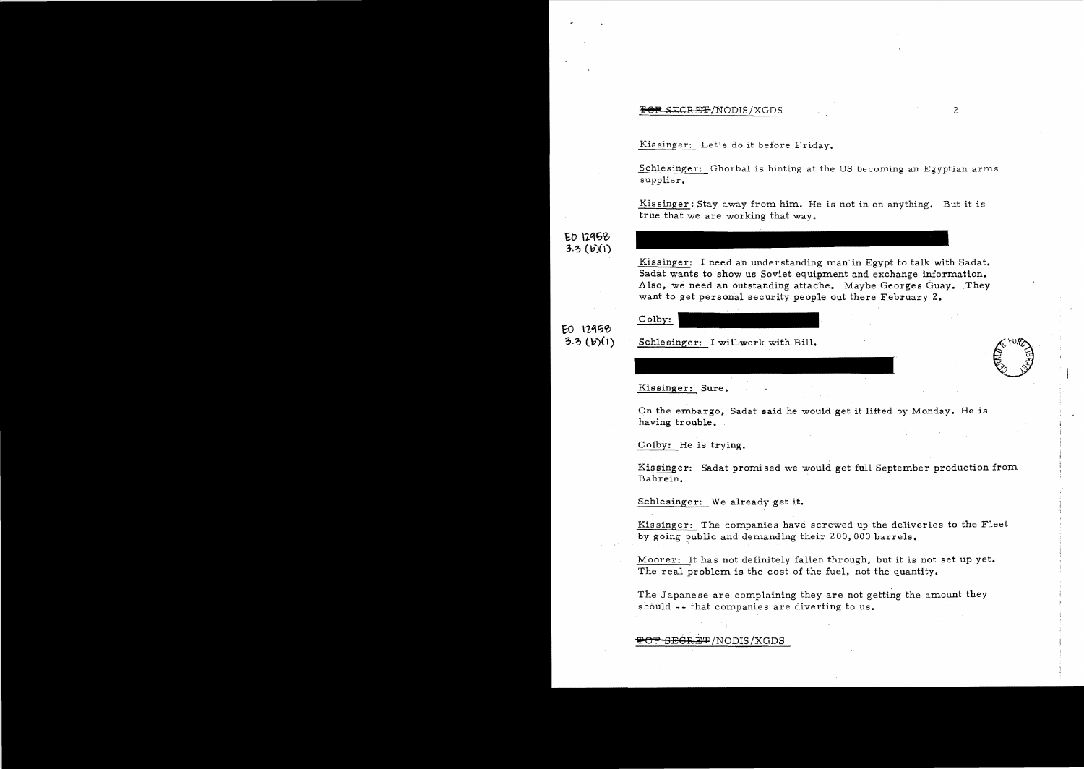## $SEGREF/NODIS/XGDS$  2

Kissinger: Let's do it before Friday.

Schlesinger: Ghorbal is hinting at the US becoming an Egyptian arms supplier.

Kis singer: Stay away from him. He is not in on anything. But it is true that we are working that way.

# EO 12958  $3.3~(b)(1)$

Kissinger: I need an understanding man in Egypt to talk with Sadat. Sadat wants to show us Soviet equipment and exchange information. Also, we need an outstanding attache. Maybe Georges Guay. They want to get personai security people out there February 2.

EO 12958

Colby:

# $(3.3)(b)(1)$  Schlesinger: I will work with Bill.

Kissinger: Sure.

On the embargo, Sadat said he would get it lifted by Monday. He is having trouble.

Colby: He is trying.

, Kissinger: Sadat promised we would get full September production from Bahrein. .

Schlesinger: We already get it.

Kissinger: The companies have screwed up the deliveries to the Fleet by going public and demanding their 200,000 barrels.

Moorer: It has not definitely fallen through, but it is not set up yet. The real problem is the cost of the fuel, not the quantity.

The Japanese are complaining they are not getting the amount they should -- that companies are diverting to us.

<del>SEGRET</del>/NODIS/XGDS

 $w^2$  $\sim$  .  $\mathbb{S}$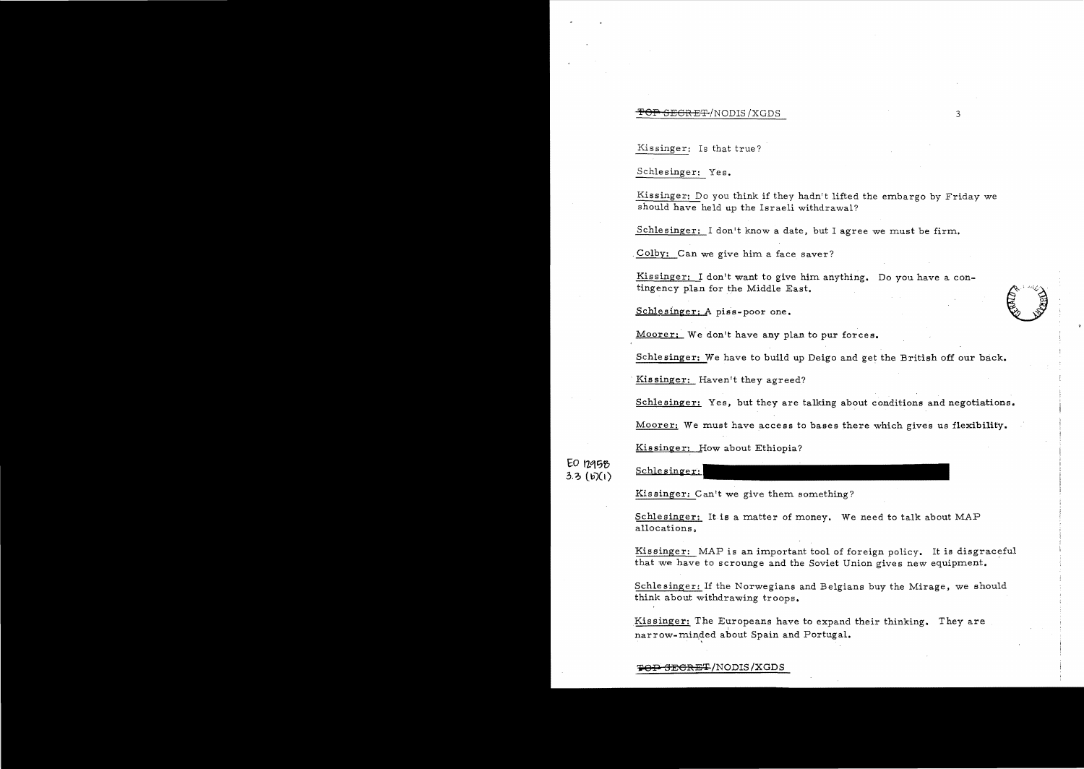### **'!!! TOP SECRET**'/NODIS /XGDS 3

Kissinger: Is that true?

Schlesinger: Yes.

Kissinger: Do you think if they hadn't lifted the embargo by Friday we should have held up the Israeli withdrawal?

Schlesinger: I don't know a date, but I agree we must be firm.

. Colby: Can we give him a face saver?

Kissinger: I don't want to give him anything. Do you have a con-<br>
schlesinger: A piss-poor one. tingency plan for the Middle East.

Moorer; We don't have any plan to pur forces.

Schlesinger: We have to build up Deigo and get the British off our back.

Kis singer: Haven't they agreed?

Schlesinger: Yes, but they are talking about conditions and negotiations.

Moorer: We must have access to bases there which gives us flexibility.

Kissinger: How about Ethiopia?

**EO** 12q~~ Schlesinger:  $3.3$  (b)(1)

Kis singer: Can't we give them something?

Schlesinger: It is a matter of money. We need to talk about MAP allocations.

Kissinger: MAP is an important tool of foreign policy. It is disgraceful that we have to scrounge and the Soviet Union gives new equipment.

Schlesinger: If the Norwegians and Belgians buy the Mirage, we should think about withdrawing troops.

Kissinger: The Europeans have to expand their thinking. They are narrow-minded about Spain and Portugal.

**TOP SECRET/NODIS/XGDS**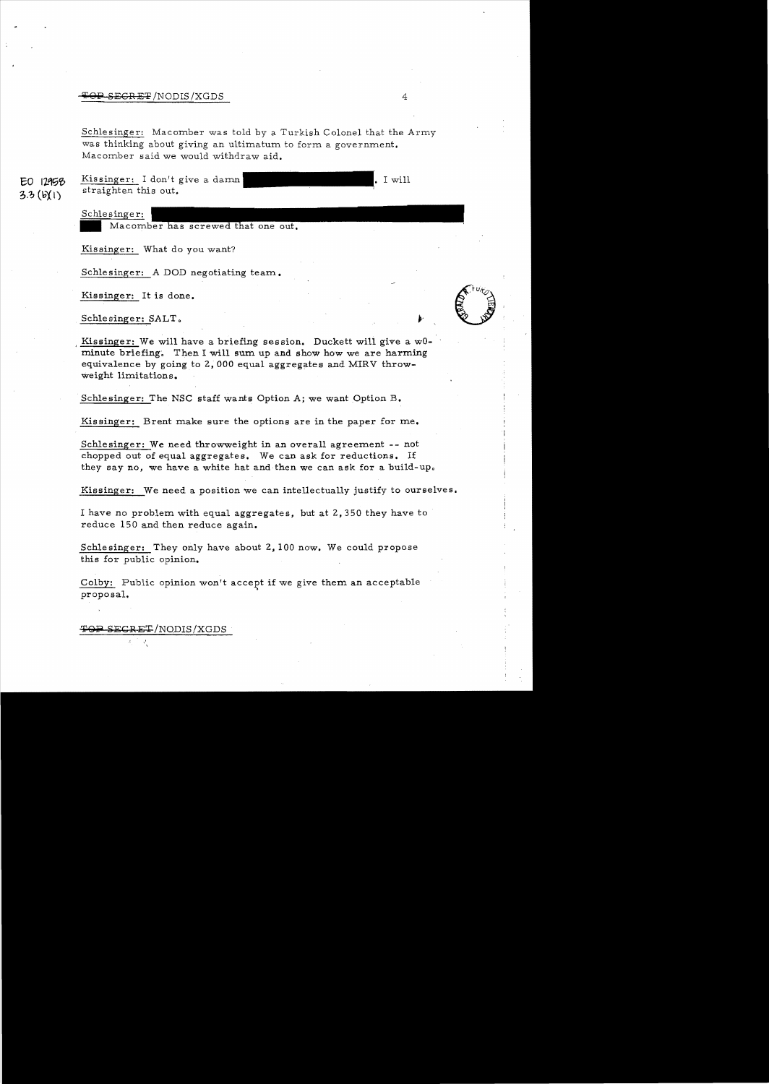#### $\overline{\text{O-P-SEGRE}}$ 'NODIS /XGDS 4

Schlesinger: Macomber was told by a Turkish Colonel that the Army was thinking about giving an ultimatum to form a government. Macomber said we would withdraw aid.

Kissinger: I don't give a damn EO 12958 straighten this out.  $3.3(W)$ 

• I will

Schlesinger:

Schlesinger:

Kis singer: What do you want?

Schlesinger: A DOD negotiating team.

Kissinger: It is done.

Schlesinger: SALT.

**CERTIFICATION** 

Kissinger: We will have a briefing session. Duckett will give a w0minute briefing. Then I will sum up and show how we are harming equivalence by going to 2,000 equal aggregates and MIRV throwweight limitations.

Schlesinger: The NSC staff wants Option A; we want Option B.

Kissinger: Brent make sure the options are in the paper for me.

Schlesinger: We need throwweight in an overall agreement - not chopped out of equal aggregates. We can ask for reductions. If they say no, we have a white hat and then we can ask for a build-up.

Kissinger: We need a position we can intellectually justify to ourselves.

I have no problem with equal aggregates, but at 2,350 they have to reduce 150 and then reduce again.

Schlesinger: They only have about 2, 100 now. We could propose this for public opinion.

Colby: Public opinion won't accept if we give them an acceptable proposal.

TOP SECRET/NODIS/XGDS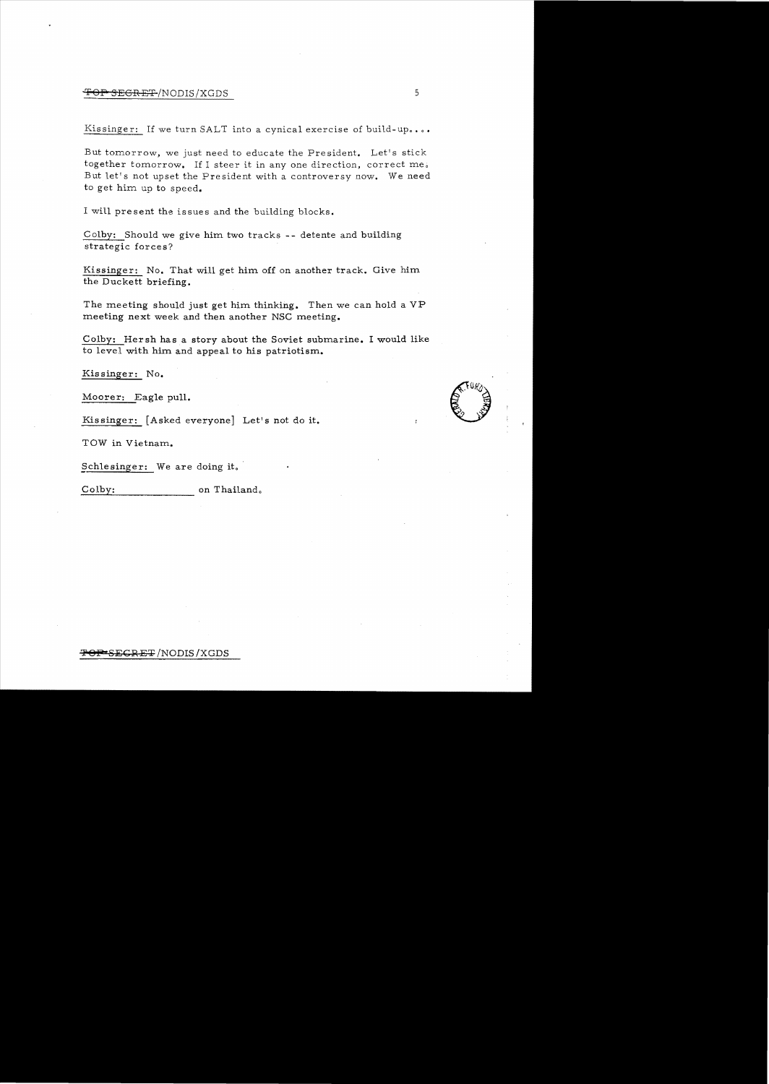## **OP SEGRET** /NODIS/XGDS 5

Kissinger: If we turn SALT into a cynical exercise of build-up....

But tomorrow, we just need to educate the President. Let's stick together tomorrow. If I steer it in any one direction, correct me. But let's not upset the President with a controversy now. We need to get him up to speed.

I will present the issues and the building blocks.

Colby: Should we give him two tracks -- detente and building strategic forces?

Kissinger: No. That will get him off on another track. Give him the Duckett briefing.

The meeting should just get him thinking. Then we can hold a VP meeting next week and then another NSC meeting.

COlby: Her sh has a story about the Soviet submarine. I would like to level with him and appeal to his patriotism.

Kissinger: No.

Moorer: Eagle pull.

Kissinger: [Asked everyone] Let's not do it.

TOW in Vietnam.

Schlesinger: We are doing it.

Colby: on Thailand.